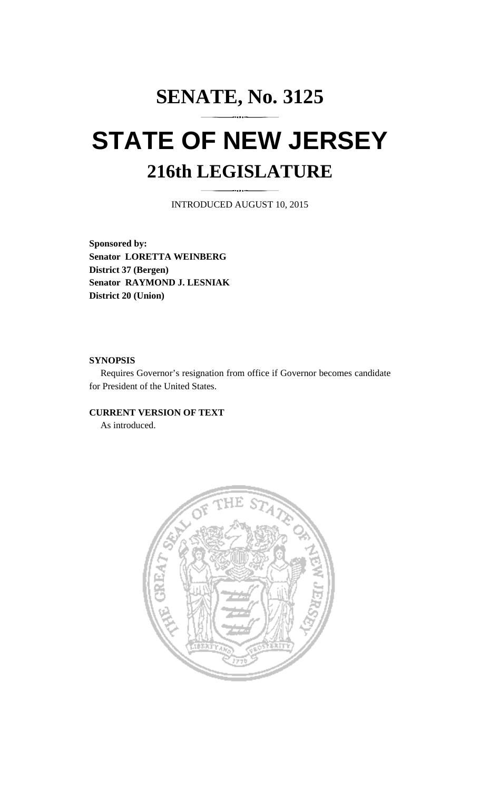# **SENATE, No. 3125 STATE OF NEW JERSEY 216th LEGISLATURE**

INTRODUCED AUGUST 10, 2015

**Sponsored by: Senator LORETTA WEINBERG District 37 (Bergen) Senator RAYMOND J. LESNIAK District 20 (Union)** 

#### **SYNOPSIS**

 Requires Governor's resignation from office if Governor becomes candidate for President of the United States.

#### **CURRENT VERSION OF TEXT**

As introduced.

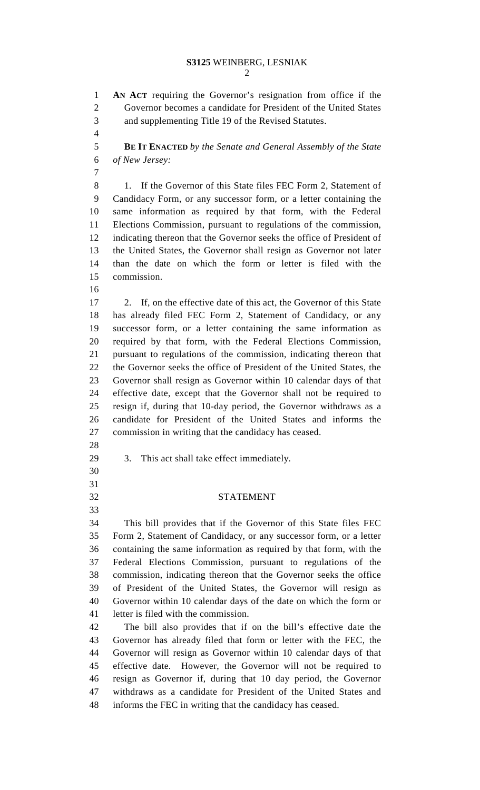### **S3125** WEINBERG, LESNIAK

2

1 **AN ACT** requiring the Governor's resignation from office if the 2 Governor becomes a candidate for President of the United States 3 and supplementing Title 19 of the Revised Statutes. 4 5 **BE IT ENACTED** *by the Senate and General Assembly of the State*  6 *of New Jersey:* 7 8 1. If the Governor of this State files FEC Form 2, Statement of 9 Candidacy Form, or any successor form, or a letter containing the 10 same information as required by that form, with the Federal 11 Elections Commission, pursuant to regulations of the commission, 12 indicating thereon that the Governor seeks the office of President of 13 the United States, the Governor shall resign as Governor not later 14 than the date on which the form or letter is filed with the 15 commission. 16 17 2. If, on the effective date of this act, the Governor of this State 18 has already filed FEC Form 2, Statement of Candidacy, or any 19 successor form, or a letter containing the same information as 20 required by that form, with the Federal Elections Commission, 21 pursuant to regulations of the commission, indicating thereon that 22 the Governor seeks the office of President of the United States, the 23 Governor shall resign as Governor within 10 calendar days of that 24 effective date, except that the Governor shall not be required to 25 resign if, during that 10-day period, the Governor withdraws as a 26 candidate for President of the United States and informs the 27 commission in writing that the candidacy has ceased. 28 29 3. This act shall take effect immediately. 30 31 32 STATEMENT 33 34 This bill provides that if the Governor of this State files FEC 35 Form 2, Statement of Candidacy, or any successor form, or a letter 36 containing the same information as required by that form, with the 37 Federal Elections Commission, pursuant to regulations of the 38 commission, indicating thereon that the Governor seeks the office 39 of President of the United States, the Governor will resign as 40 Governor within 10 calendar days of the date on which the form or 41 letter is filed with the commission. 42 The bill also provides that if on the bill's effective date the 43 Governor has already filed that form or letter with the FEC, the 44 Governor will resign as Governor within 10 calendar days of that 45 effective date. However, the Governor will not be required to 46 resign as Governor if, during that 10 day period, the Governor 47 withdraws as a candidate for President of the United States and 48 informs the FEC in writing that the candidacy has ceased.